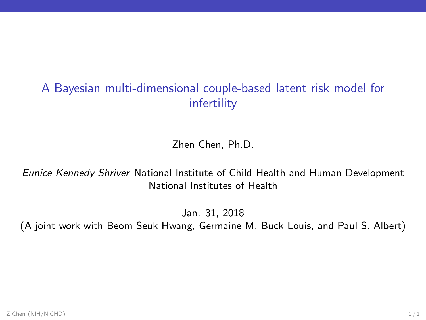## A Bayesian multi-dimensional couple-based latent risk model for infertility

Zhen Chen, Ph.D.

Eunice Kennedy Shriver National Institute of Child Health and Human Development National Institutes of Health

Jan. 31, 2018

(A joint work with Beom Seuk Hwang, Germaine M. Buck Louis, and Paul S. Albert)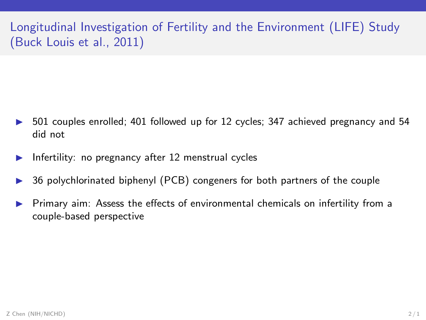Longitudinal Investigation of Fertility and the Environment (LIFE) Study (Buck Louis et al., 2011)

- 501 couples enrolled; 401 followed up for 12 cycles; 347 achieved pregnancy and 54 did not
- $\blacktriangleright$  Infertility: no pregnancy after 12 menstrual cycles
- ◮ 36 polychlorinated biphenyl (PCB) congeners for both partners of the couple
- Primary aim: Assess the effects of environmental chemicals on infertility from a couple-based perspective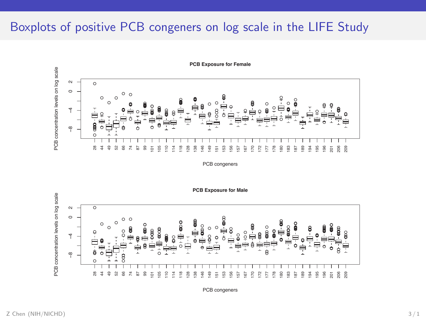## Boxplots of positive PCB congeners on log scale in the LIFE Study



**PCB Exposure for Female**

PCB congeners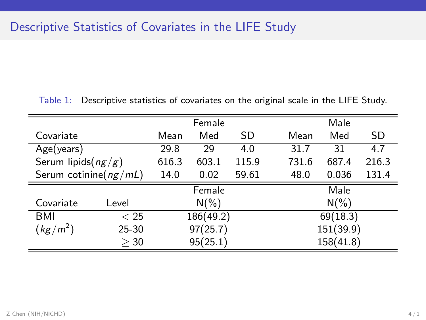Table 1: Descriptive statistics of covariates on the original scale in the LIFE Study.

|                           |           | Female    |          |       |           | Male      |       |  |
|---------------------------|-----------|-----------|----------|-------|-----------|-----------|-------|--|
| Covariate                 |           | Mean      | Med      | SD    | Mean      | Med       | SD    |  |
| Age(years)                |           | 29.8      | 29       | 4.0   | 31.7      | 31        | 4.7   |  |
| Serum lipids( $ng/g$ )    |           | 616.3     | 603.1    | 115.9 | 731.6     | 687.4     | 216.3 |  |
| Serum cotinine( $ng/mL$ ) |           | 14.0      | 0.02     | 59.61 | 48.0      | 0.036     | 131.4 |  |
|                           |           |           | Female   |       |           | Male      |       |  |
| Covariate                 | Level     |           | $N(\% )$ |       |           | $N(\% )$  |       |  |
| BMI                       | $<$ 25    | 186(49.2) |          |       | 69(18.3)  |           |       |  |
| $(kg/m^2)$                | $25 - 30$ | 97(25.7)  |          |       | 151(39.9) |           |       |  |
|                           | >30       |           | 95(25.1) |       |           | 158(41.8) |       |  |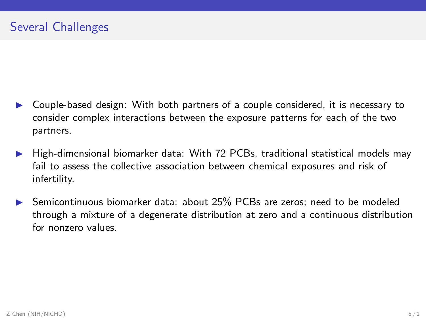- ▶ Couple-based design: With both partners of a couple considered, it is necessary to consider complex interactions between the exposure patterns for each of the two partners.
- ▶ High-dimensional biomarker data: With 72 PCBs, traditional statistical models may fail to assess the collective association between chemical exposures and risk of infertility.
- Semicontinuous biomarker data: about 25% PCBs are zeros; need to be modeled through a mixture of a degenerate distribution at zero and a continuous distribution for nonzero values.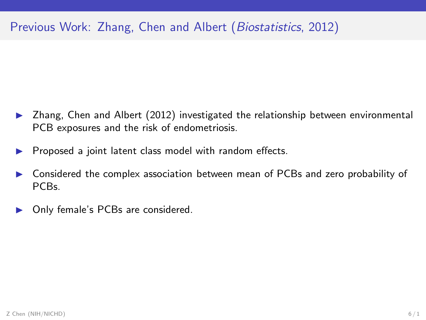## Previous Work: Zhang, Chen and Albert (Biostatistics, 2012)

- $\triangleright$  Zhang, Chen and Albert (2012) investigated the relationship between environmental PCB exposures and the risk of endometriosis.
- Proposed a joint latent class model with random effects.
- ▶ Considered the complex association between mean of PCBs and zero probability of PCBs.
- Only female's PCBs are considered.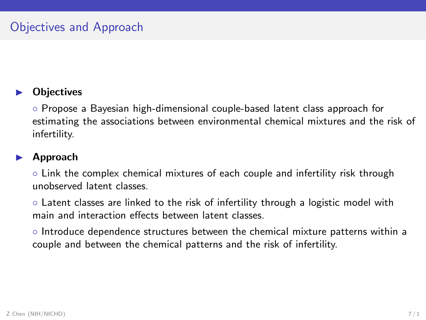#### **Objectives**

◦ Propose a Bayesian high-dimensional couple-based latent class approach for estimating the associations between environmental chemical mixtures and the risk of infertility.

#### **Approach**

◦ Link the complex chemical mixtures of each couple and infertility risk through unobserved latent classes.

◦ Latent classes are linked to the risk of infertility through a logistic model with main and interaction effects between latent classes.

◦ Introduce dependence structures between the chemical mixture patterns within a couple and between the chemical patterns and the risk of infertility.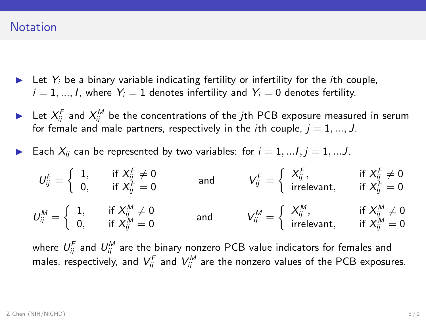#### **Notation**

- $\blacktriangleright$  Let  $Y_i$  be a binary variable indicating fertility or infertility for the *i*th couple,  $i = 1, ..., l$ , where  $Y_i = 1$  denotes infertility and  $Y_i = 0$  denotes fertility.
- $\blacktriangleright$  Let  $X_{ij}^F$  and  $X_{ij}^M$  be the concentrations of the  $j$ th PCB exposure measured in serum for female and male partners, respectively in the *i*th couple,  $j = 1, ..., J$ .
- Each  $X_{ij}$  can be represented by two variables: for  $i = 1, \ldots, j = 1, \ldots, J$ ,

$$
U_{ij}^F = \begin{cases} 1, & \text{if } X_{ij}^F \neq 0 \\ 0, & \text{if } X_{ij}^F = 0 \end{cases} \text{ and } V_{ij}^F = \begin{cases} X_{ij}^F, & \text{if } X_{ij}^F \neq 0 \\ \text{irrelevant}, & \text{if } X_{ij}^F = 0 \end{cases}
$$

$$
U_{ij}^M = \begin{cases} 1, & \text{if } X_{ij}^M \neq 0 \\ 0, & \text{if } X_{ij}^M = 0 \end{cases} \text{ and } V_{ij}^M = \begin{cases} X_{ij}^M, & \text{if } X_{ij}^M \neq 0 \\ \text{irrelevant}, & \text{if } X_{ij}^M = 0 \end{cases}
$$

where  $U_{ij}^F$  and  $U_{ij}^M$  are the binary nonzero PCB value indicators for females and males, respectively, and  $V_{ij}^F$  and  $V_{ij}^M$  are the nonzero values of the PCB exposures.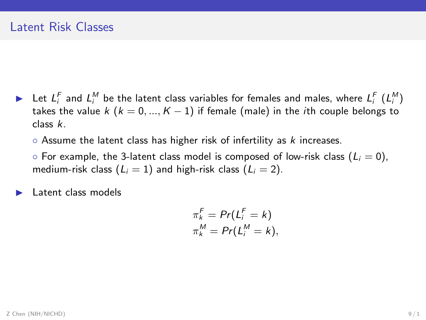$\blacktriangleright$  Let  $L_i^F$  and  $L_i^M$  be the latent class variables for females and males, where  $L_i^F$   $(L_i^M)$ takes the value k ( $k = 0, ..., K - 1$ ) if female (male) in the *i*th couple belongs to class k.

 $\circ$  Assume the latent class has higher risk of infertility as  $k$  increases.

 $\circ$  For example, the 3-latent class model is composed of low-risk class ( $L_i = 0$ ), medium-risk class  $(L_i = 1)$  and high-risk class  $(L_i = 2)$ .

Latent class models

$$
\pi_k^F = Pr(L_i^F = k)
$$
  

$$
\pi_k^M = Pr(L_i^M = k),
$$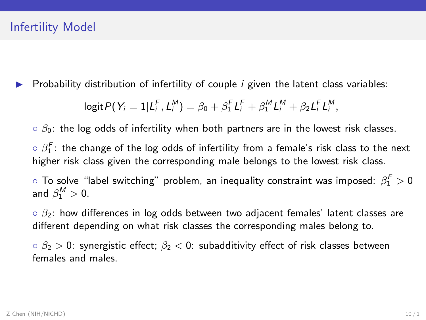#### Infertility Model

Probability distribution of infertility of couple  $i$  given the latent class variables:

$$
logit P(Y_i = 1 | L_i^F, L_i^M) = \beta_0 + \beta_1^F L_i^F + \beta_1^M L_i^M + \beta_2 L_i^F L_i^M,
$$

 $\circ$   $\beta_0$ : the log odds of infertility when both partners are in the lowest risk classes.

 $\circ$   $\beta_1^{\digamma}$ : the change of the log odds of infertility from a female's risk class to the next higher risk class given the corresponding male belongs to the lowest risk class.

 $\circ$  To solve "label switching" problem, an inequality constraint was imposed:  $\beta_1^F>0$ and  $\beta_1^M > 0$ .

 $\circ$   $\beta_2$ : how differences in log odds between two adjacent females' latent classes are different depending on what risk classes the corresponding males belong to.

 $\delta_0$   $\beta_2$   $>$  0: synergistic effect;  $\beta_2$   $<$  0: subadditivity effect of risk classes between females and males.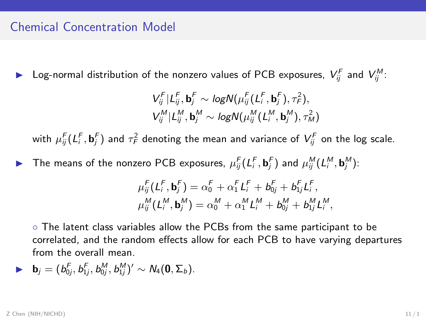#### Chemical Concentration Model

 $\blacktriangleright$  Log-normal distribution of the nonzero values of PCB exposures,  $V_{ij}^F$  and  $V_{ij}^M$ :

$$
\begin{aligned} &V_{ij}^F|L_{ij}^F,\mathbf{b}_j^F\sim logN\big(\mu_{ij}^F(L_i^F,\mathbf{b}_j^F),\tau_F^2\big),\\ &V_{ij}^M|L_{ij}^M,\mathbf{b}_j^M\sim logN\big(\mu_{ij}^M(L_i^M,\mathbf{b}_j^M),\tau_M^2\big) \end{aligned}
$$

with  $\mu_{ij}^F(L_i^F,\textbf{b}_j^F)$  and  $\tau_F^2$  denoting the mean and variance of  $V_{ij}^F$  on the log scale.

▶ The means of the nonzero PCB exposures,  $\mu_{ij}^F(L_i^F, \mathbf{b}_j^F)$  and  $\mu_{ij}^M(L_i^M, \mathbf{b}_j^M)$ :

$$
\mu_{ij}^F(L_i^F, \mathbf{b}_j^F) = \alpha_0^F + \alpha_1^F L_i^F + b_{0j}^F + b_{1j}^F L_i^F,
$$
  

$$
\mu_{ij}^M(L_i^M, \mathbf{b}_j^M) = \alpha_0^M + \alpha_1^M L_i^M + b_{0j}^M + b_{1j}^M L_i^M,
$$

◦ The latent class variables allow the PCBs from the same participant to be correlated, and the random effects allow for each PCB to have varying departures from the overall mean.

$$
\blacktriangleright \quad \mathbf{b}_j=(b_{0j}^F,b_{1j}^F,b_{0j}^M,b_{1j}^M)'\sim N_4(\mathbf{0},\Sigma_b).
$$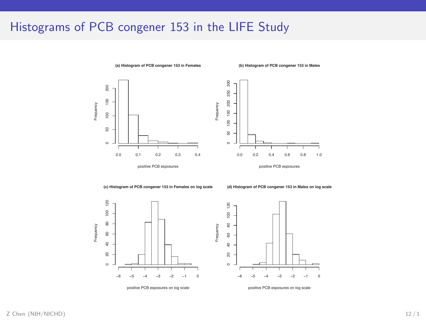### Histograms of PCB congener 153 in the LIFE Study



**(c) Histogram of PCB congener 153 in Females on log scale**

**(d) Histogram of PCB congener 153 in Males on log scale**





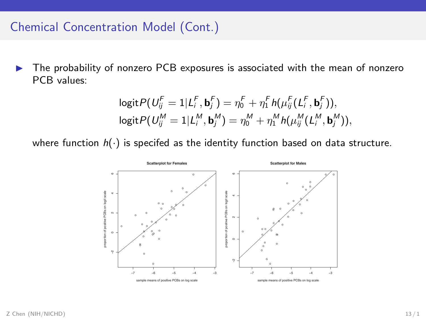### Chemical Concentration Model (Cont.)

► The probability of nonzero PCB exposures is associated with the mean of nonzero PCB values:

$$
\begin{aligned} \log \text{it} & P(U_{ij}^F = 1 | L_i^F, \mathbf{b}_j^F) = \eta_0^F + \eta_1^F h(\mu_{ij}^F(L_i^F, \mathbf{b}_j^F)), \\ \log \text{it} & P(U_{ij}^M = 1 | L_i^M, \mathbf{b}_j^M) = \eta_0^M + \eta_1^M h(\mu_{ij}^M(L_i^M, \mathbf{b}_j^M)), \end{aligned}
$$

where function  $h(\cdot)$  is specifed as the identity function based on data structure.

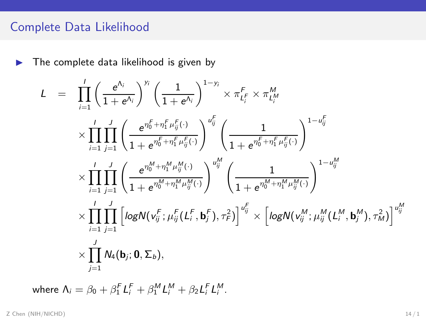## Complete Data Likelihood

 $\blacktriangleright$  The complete data likelihood is given by

$$
L = \prod_{i=1}^{I} \left( \frac{e^{\Lambda_i}}{1+e^{\Lambda_i}} \right)^{y_i} \left( \frac{1}{1+e^{\Lambda_i}} \right)^{1-y_i} \times \pi_{L_i^F}^F \times \pi_{L_i^M}^M
$$
  
\n
$$
\times \prod_{i=1}^{I} \prod_{j=1}^{J} \left( \frac{e^{\eta_0^F + \eta_1^F \mu_j^F(\cdot)}}{1+e^{\eta_0^F + \eta_1^F \mu_j^F(\cdot)}} \right)^{\omega_{ij}^F} \left( \frac{1}{1+e^{\eta_0^F + \eta_1^F \mu_j^F(\cdot)}} \right)^{1-\omega_{ij}^F}
$$
  
\n
$$
\times \prod_{i=1}^{I} \prod_{j=1}^{J} \left( \frac{e^{\eta_0^M + \eta_1^M \mu_{ij}^M(\cdot)}}{1+e^{\eta_0^M + \eta_1^M \mu_{ij}^M(\cdot)}} \right)^{\omega_{ij}^M} \left( \frac{1}{1+e^{\eta_0^M + \eta_1^M \mu_{ij}^M(\cdot)}} \right)^{1-\omega_{ij}^M}
$$
  
\n
$$
\times \prod_{i=1}^{I} \prod_{j=1}^{J} \left[ \log N(\nu_{ij}^F; \mu_{ij}^F(L_i^F, \mathbf{b}_j^F), \tau_F^2) \right]^{\omega_{ij}^F} \times \left[ \log N(\nu_{ij}^M; \mu_{ij}^M(L_i^M, \mathbf{b}_j^M), \tau_M^2) \right]^{\omega_{ij}^M}
$$
  
\n
$$
\times \prod_{j=1}^{J} N_4(\mathbf{b}_j; \mathbf{0}, \Sigma_b),
$$

where  $\Lambda_i = \beta_0 + \beta_1^F L_i^F + \beta_1^M L_i^M + \beta_2 L_i^F L_i^M$ .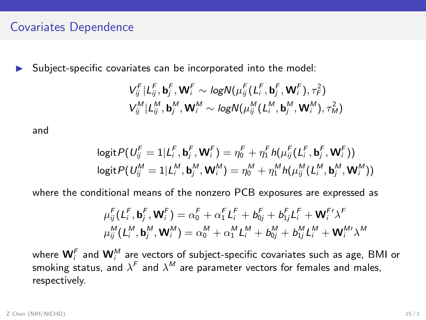#### Covariates Dependence

▶ Subject-specific covariates can be incorporated into the model:

$$
\begin{aligned} &V_{ij}^F|L_{ij}^F, \mathbf{b}_j^F, \mathbf{W}_i^F \sim \textit{logN}(\mu_{ij}^F(L_i^F, \mathbf{b}_j^F, \mathbf{W}_i^F), \tau_F^2)\\ &V_{ij}^M|L_{ij}^M, \mathbf{b}_j^M, \mathbf{W}_i^M \sim \textit{logN}(\mu_{ij}^M(L_i^M, \mathbf{b}_j^M, \mathbf{W}_i^M), \tau_M^2)\end{aligned}
$$

and

$$
\begin{aligned}\n\logit P(U_{ij}^F &= 1 | L_i^F, \mathbf{b}_j^F, \mathbf{W}_i^F) = \eta_0^F + \eta_1^F h(\mu_{ij}^F(L_i^F, \mathbf{b}_j^F, \mathbf{W}_i^F)) \\
\logit P(U_{ij}^M &= 1 | L_i^M, \mathbf{b}_j^M, \mathbf{W}_i^M) = \eta_0^M + \eta_1^M h(\mu_{ij}^M(L_i^M, \mathbf{b}_j^M, \mathbf{W}_i^M))\n\end{aligned}
$$

where the conditional means of the nonzero PCB exposures are expressed as

$$
\mu_{ij}^F(L_i^F, \mathbf{b}_j^F, \mathbf{W}_i^F) = \alpha_0^F + \alpha_1^F L_i^F + b_{0j}^F + b_{1j}^F L_i^F + \mathbf{W}_i^{F'} \lambda^F
$$

$$
\mu_{ij}^M(L_i^M, \mathbf{b}_j^M, \mathbf{W}_i^M) = \alpha_0^M + \alpha_1^M L_i^M + b_{0j}^M + b_{1j}^M L_i^M + \mathbf{W}_i^W \lambda^M
$$

where  $\mathbf{W}_i^F$  and  $\mathbf{W}_i^M$  are vectors of subject-specific covariates such as age, BMI or smoking status, and  $\lambda^F$  and  $\lambda^M$  are parameter vectors for females and males, respectively.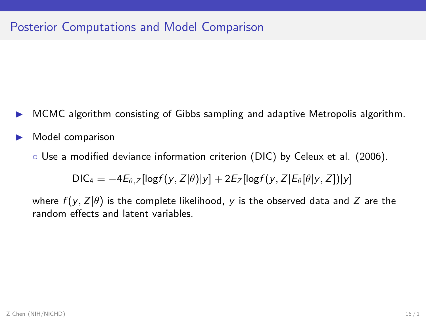- ◮ MCMC algorithm consisting of Gibbs sampling and adaptive Metropolis algorithm.
- Model comparison
	- Use a modified deviance information criterion (DIC) by Celeux et al. (2006).

 $DIC_4 = -4E_{\theta, Z}[\log f(y, Z|\theta)|y] + 2E_Z[\log f(y, Z|E_{\theta}[\theta|y, Z])|y]$ 

where  $f(y, Z|\theta)$  is the complete likelihood, y is the observed data and Z are the random effects and latent variables.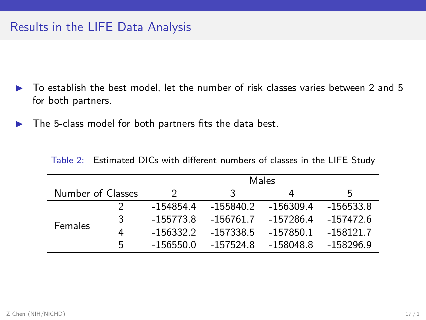- $\triangleright$  To establish the best model, let the number of risk classes varies between 2 and 5 for both partners.
- $\blacktriangleright$  The 5-class model for both partners fits the data best.

|                   |   | Males         |             |           |             |
|-------------------|---|---------------|-------------|-----------|-------------|
| Number of Classes |   | $\mathcal{P}$ | 3           | 4         | 5           |
|                   |   | -154854.4     | $-155840.2$ | -156309.4 | $-156533.8$ |
| <b>Females</b>    | 3 | $-155773.8$   | $-156761.7$ | -157286.4 | $-157472.6$ |
|                   | 4 | $-156332.2$   | $-157338.5$ | -157850.1 | $-158121.7$ |
|                   | 5 | $-156550.0$   | $-157524.8$ | -158048.8 | -158296.9   |

Table 2: Estimated DICs with different numbers of classes in the LIFE Study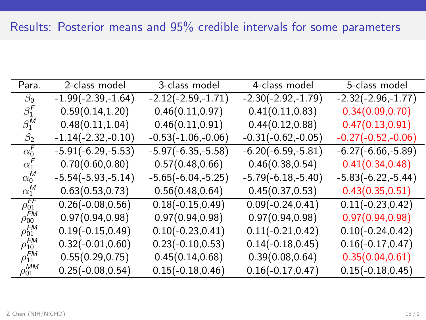| Para.                     | 2-class model        | 3-class model        | 4-class model        | 5-class model        |
|---------------------------|----------------------|----------------------|----------------------|----------------------|
| $\beta_0$                 | $-1.99(-2.39,-1.64)$ | $-2.12(-2.59,-1.71)$ | $-2.30(-2.92,-1.79)$ | $-2.32(-2.96,-1.77)$ |
| $\beta_1^{\mu}$           | 0.59(0.14, 1.20)     | 0.46(0.11, 0.97)     | 0.41(0.11, 0.83)     | 0.34(0.09, 0.70)     |
| $\beta_1^M$               | 0.48(0.11, 1.04)     | 0.46(0.11, 0.91)     | 0.44(0.12, 0.88)     | 0.47(0.13, 0.91)     |
| $\beta_2$                 | $-1.14(-2.32,-0.10)$ | $-0.53(-1.06,-0.06)$ | $-0.31(-0.62,-0.05)$ | $-0.27(-0.52,-0.06)$ |
| $\alpha_0^{\mathsf{F}}$   | $-5.91(-6.29,-5.53)$ | $-5.97(-6.35,-5.58)$ | $-6.20(-6.59,-5.81)$ | $-6.27(-6.66,-5.89)$ |
| $\alpha_1^r$              | 0.70(0.60, 0.80)     | 0.57(0.48, 0.66)     | 0.46(0.38, 0.54)     | 0.41(0.34, 0.48)     |
| $\alpha_0^M$              | $-5.54(-5.93,-5.14)$ | $-5.65(-6.04,-5.25)$ | $-5.79(-6.18,-5.40)$ | $-5.83(-6.22,-5.44)$ |
| $\alpha_1^M$              | 0.63(0.53, 0.73)     | 0.56(0.48, 0.64)     | 0.45(0.37, 0.53)     | 0.43(0.35, 0.51)     |
| $\rho_{01}^{FF}$          | $0.26(-0.08, 0.56)$  | $0.18(-0.15, 0.49)$  | $0.09(-0.24, 0.41)$  | $0.11(-0.23, 0.42)$  |
| .FM<br>$\rho_{00}$        | 0.97(0.94.0.98)      | 0.97(0.94.0.98)      | 0.97(0.94, 0.98)     | 0.97(0.94, 0.98)     |
| $\rho_{01}^{\textit{FM}}$ | $0.19(-0.15, 0.49)$  | $0.10(-0.23, 0.41)$  | $0.11(-0.21, 0.42)$  | $0.10(-0.24, 0.42)$  |
| $\rho_{10}^{FM}$          | $0.32(-0.01, 0.60)$  | $0.23(-0.10, 0.53)$  | $0.14(-0.18, 0.45)$  | $0.16(-0.17, 0.47)$  |
| FM<br>$\rho_{11}$         | 0.55(0.29, 0.75)     | 0.45(0.14, 0.68)     | 0.39(0.08, 0.64)     | 0.35(0.04, 0.61)     |
| $\rho_{01}^{MM}$          | $0.25(-0.08, 0.54)$  | $0.15(-0.18, 0.46)$  | $0.16(-0.17, 0.47)$  | $0.15(-0.18, 0.45)$  |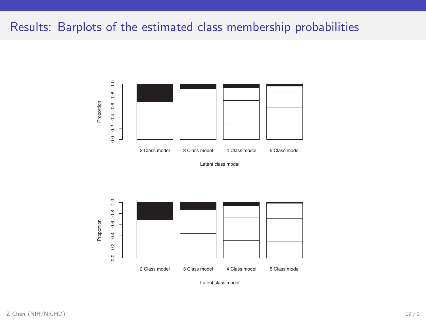## Results: Barplots of the estimated class membership probabilities



Latent class model



Latent class model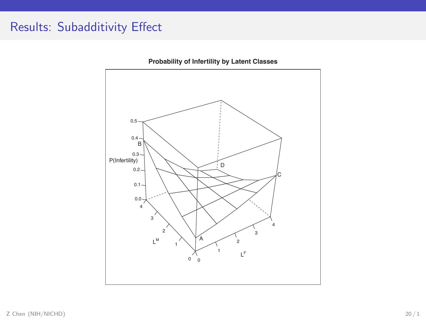# Results: Subadditivity Effect



**Probability of Infertility by Latent Classes**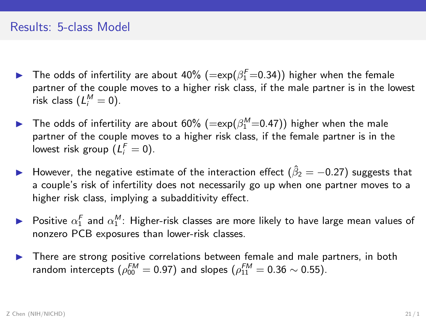- $\blacktriangleright$  The odds of infertility are about 40%  $(=\exp(\beta_1^F=0.34))$  higher when the female partner of the couple moves to a higher risk class, if the male partner is in the lowest risk class  $(L_i^M=0)$ .
- $\blacktriangleright$  The odds of infertility are about 60%  $(=\exp(\beta_1^M=0.47))$  higher when the male partner of the couple moves to a higher risk class, if the female partner is in the lowest risk group  $(L_i^F = 0)$ .
- ► However, the negative estimate of the interaction effect ( $\hat{\beta}_2 = -0.27$ ) suggests that a couple's risk of infertility does not necessarily go up when one partner moves to a higher risk class, implying a subadditivity effect.
- $\blacktriangleright$  Positive  $\alpha_1^F$  and  $\alpha_1^M$ : Higher-risk classes are more likely to have large mean values of nonzero PCB exposures than lower-risk classes.
- ▶ There are strong positive correlations between female and male partners, in both random intercepts  $(\rho_{00}^{\textit{FM}}=0.97)$  and slopes  $(\rho_{11}^{\textit{FM}}=0.36\sim0.55).$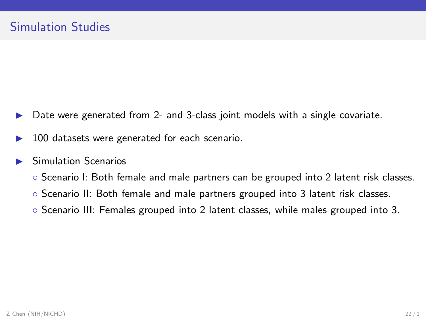- Date were generated from 2- and 3-class joint models with a single covariate.
- 100 datasets were generated for each scenario.

#### Simulation Scenarios

- Scenario I: Both female and male partners can be grouped into 2 latent risk classes.
- Scenario II: Both female and male partners grouped into 3 latent risk classes.
- Scenario III: Females grouped into 2 latent classes, while males grouped into 3.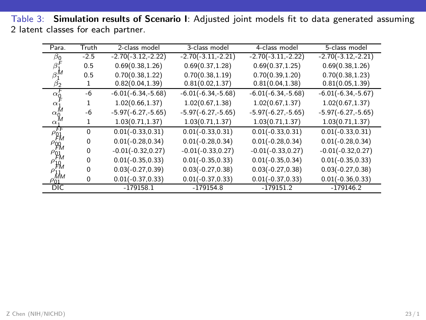Table 3: Simulation results of Scenario I: Adjusted joint models fit to data generated assuming 2 latent classes for each partner.

| Para.                                                    | Truth    | 2-class model        | 3-class model        | 4-class model        | 5-class model        |
|----------------------------------------------------------|----------|----------------------|----------------------|----------------------|----------------------|
| $\beta_0$                                                | $-2.5$   | $-2.70(-3.12,-2.22)$ | $-2.70(-3.11,-2.21)$ | $-2.70(-3.11,-2.22)$ | $-2.70(-3.12,-2.21)$ |
| $\beta_1^r$                                              | 0.5      | 0.69(0.38, 1.26)     | 0.69(0.37, 1.28)     | 0.69(0.37, 1.25)     | 0.69(0.38, 1.26)     |
| $\beta_1^M$                                              | 0.5      | 0.70(0.38, 1.22)     | 0.70(0.38, 1.19)     | 0.70(0.39, 1.20)     | 0.70(0.38, 1.23)     |
| βэ                                                       |          | 0.82(0.04, 1.39)     | 0.81(0.02, 1.37)     | 0.81(0.04, 1.38)     | 0.81(0.05, 1.39)     |
| $\alpha_{0}^{r}$                                         | -6       | $-6.01(-6.34,-5.68)$ | $-6.01(-6.34,-5.68)$ | $-6.01(-6.34,-5.68)$ | $-6.01(-6.34,-5.67)$ |
| $\alpha_1$                                               | 1        | 1.02(0.66, 1.37)     | 1.02(0.67, 1.38)     | 1.02(0.67, 1.37)     | 1.02(0.67, 1.37)     |
| $\alpha_0^M$                                             | -6       | $-5.97(-6.27,-5.65)$ | $-5.97(-6.27,-5.65)$ | $-5.97(-6.27,-5.65)$ | $-5.97(-6.27,-5.65)$ |
| $\alpha$                                                 | 1        | 1.03(0.71, 1.37)     | 1.03(0.71, 1.37)     | 1.03(0.71, 1.37)     | 1.03(0.71, 1.37)     |
| .FF<br>$\rho_{\beta_M}$                                  | $\Omega$ | $0.01(-0.33, 0.31)$  | $0.01(-0.33, 0.31)$  | $0.01(-0.33, 0.31)$  | $0.01(-0.33, 0.31)$  |
| $\rho_{\stackrel{\scriptstyle o}{F}M}^{\phantom\dagger}$ | 0        | $0.01(-0.28, 0.34)$  | $0.01(-0.28, 0.34)$  | $0.01(-0.28, 0.34)$  | $0.01(-0.28, 0.34)$  |
| $\rho_{\beta M}$                                         | $\Omega$ | $-0.01(-0.32, 0.27)$ | $-0.01(-0.33, 0.27)$ | $-0.01(-0.33, 0.27)$ | $-0.01(-0.32, 0.27)$ |
| $\rho_{10}$                                              | $\Omega$ | $0.01(-0.35, 0.33)$  | $0.01(-0.35, 0.33)$  | $0.01(-0.35, 0.34)$  | $0.01(-0.35, 0.33)$  |
| $\rho_{\dot{H}_M}$                                       | $\Omega$ | $0.03(-0.27, 0.39)$  | $0.03(-0.27, 0.38)$  | $0.03(-0.27, 0.38)$  | $0.03(-0.27, 0.38)$  |
| $\rho_{01}$                                              | 0        | $0.01(-0.37, 0.33)$  | $0.01(-0.37, 0.33)$  | $0.01(-0.37, 0.33)$  | $0.01(-0.36, 0.33)$  |
| <b>DIC</b>                                               |          | $-179158.1$          | $-179154.8$          | $-179151.2$          | $-179146.2$          |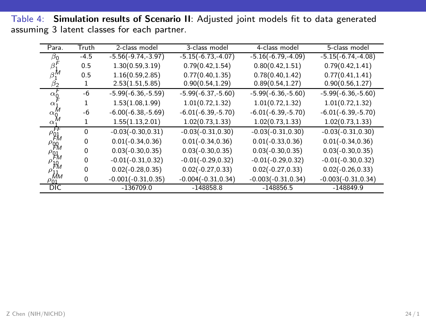Table 4: Simulation results of Scenario II: Adjusted joint models fit to data generated assuming 3 latent classes for each partner.

| Para.                      | Truth    | 2-class model         | 3-class model         | 4-class model         | 5-class model         |
|----------------------------|----------|-----------------------|-----------------------|-----------------------|-----------------------|
| b٥                         | $-4.5$   | $-5.56(-9.74,-3.97)$  | $-5.15(-6.73,-4.07)$  | $-5.16(-6.79,-4.09)$  | $-5.15(-6.74,-4.08)$  |
| $\beta_1'$                 | 0.5      | 1.30(0.59.3.19)       | 0.79(0.42, 1.54)      | 0.80(0.42, 1.51)      | 0.79(0.42, 1.41)      |
| $\beta_1^M$                | 0.5      | 1.16(0.59, 2.85)      | 0.77(0.40, 1.35)      | 0.78(0.40, 1.42)      | 0.77(0.41, 1.41)      |
| βэ                         |          | 2.53(1.51, 5.85)      | 0.90(0.54, 1.29)      | 0.89(0.54, 1.27)      | 0.90(0.56, 1.27)      |
| $\alpha'$                  | -6       | $-5.99(-6.36,-5.59)$  | $-5.99(-6.37,-5.60)$  | $-5.99(-6.36,-5.60)$  | $-5.99(-6.36,-5.60)$  |
| $\alpha_1$                 |          | 1.53(1.08, 1.99)      | 1.01(0.72, 1.32)      | 1.01(0.72, 1.32)      | 1.01(0.72, 1.32)      |
| $\alpha_0^M$               | -6       | $-6.00(-6.38,-5.69)$  | $-6.01(-6.39,-5.70)$  | $-6.01(-6.39,-5.70)$  | $-6.01(-6.39,-5.70)$  |
| $\alpha$                   | 1        | 1.55(1.13, 2.01)      | 1.02(0.73, 1.33)      | 1.02(0.73, 1.33)      | 1.02(0.73, 1.33)      |
| FF<br>$\rho_{\mu}$         | $\Omega$ | $-0.03(-0.30, 0.31)$  | $-0.03(-0.31, 0.30)$  | $-0.03(-0.31, 0.30)$  | $-0.03(-0.31, 0.30)$  |
| $\rho_{00}$                | 0        | $0.01(-0.34, 0.36)$   | $0.01(-0.34, 0.36)$   | $0.01(-0.33, 0.36)$   | $0.01(-0.34, 0.36)$   |
| $\rho_{\mu}$               | 0        | $0.03(-0.30, 0.35)$   | $0.03(-0.30, 0.35)$   | $0.03(-0.30, 0.35)$   | $0.03(-0.30, 0.35)$   |
| $\rho_{\stackrel{10}{F}M}$ | 0        | $-0.01(-0.31, 0.32)$  | $-0.01(-0.29, 0.32)$  | $-0.01(-0.29, 0.32)$  | $-0.01(-0.30, 0.32)$  |
|                            | 0        | $0.02(-0.28, 0.35)$   | $0.02(-0.27, 0.33)$   | $0.02(-0.27, 0.33)$   | $0.02(-0.26, 0.33)$   |
| Mм<br>$\rho_{01}$          | 0        | $-0.001(-0.31, 0.35)$ | $-0.004(-0.31, 0.34)$ | $-0.003(-0.31, 0.34)$ | $-0.003(-0.31, 0.34)$ |
| $\overline{DIC}$           |          | $-136709.0$           | $-148858.8$           | $-148856.5$           | $-148849.9$           |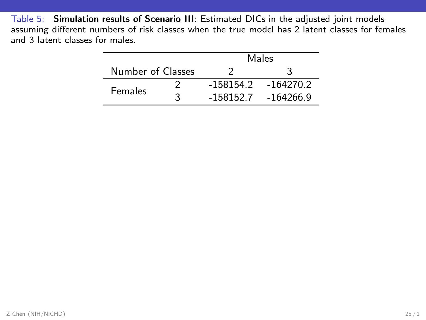Table 5: Simulation results of Scenario III: Estimated DICs in the adjusted joint models assuming different numbers of risk classes when the true model has 2 latent classes for females and 3 latent classes for males.

|                   |   | Males       |             |  |
|-------------------|---|-------------|-------------|--|
| Number of Classes |   |             |             |  |
| <b>Females</b>    |   | $-158154.2$ | $-164270.2$ |  |
|                   | ર | $-158152.7$ | $-164266.9$ |  |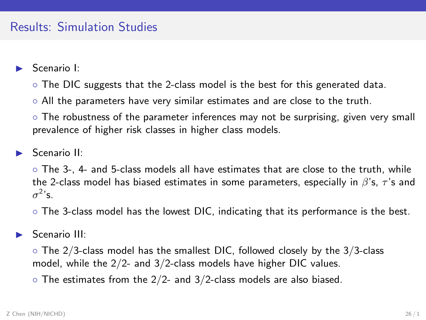### Results: Simulation Studies

- Scenario I:
	- The DIC suggests that the 2-class model is the best for this generated data.
	- All the parameters have very similar estimates and are close to the truth.
	- The robustness of the parameter inferences may not be surprising, given very small prevalence of higher risk classes in higher class models.
- Scenario II<sup>.</sup>
	- The 3-, 4- and 5-class models all have estimates that are close to the truth, while the 2-class model has biased estimates in some parameters, especially in  $\beta$ 's,  $\tau$ 's and  $\sigma^2$ 's.
	- The 3-class model has the lowest DIC, indicating that its performance is the best.
- Scenario III:
	- The 2/3-class model has the smallest DIC, followed closely by the 3/3-class model, while the 2/2- and 3/2-class models have higher DIC values.
	- $\circ$  The estimates from the 2/2- and 3/2-class models are also biased.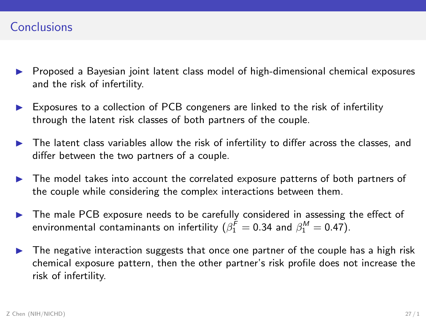- ▶ Proposed a Bayesian joint latent class model of high-dimensional chemical exposures and the risk of infertility.
- ► Exposures to a collection of PCB congeners are linked to the risk of infertility through the latent risk classes of both partners of the couple.
- $\triangleright$  The latent class variables allow the risk of infertility to differ across the classes, and differ between the two partners of a couple.
- ▶ The model takes into account the correlated exposure patterns of both partners of the couple while considering the complex interactions between them.
- ▶ The male PCB exposure needs to be carefully considered in assessing the effect of environmental contaminants on infertility  $(\beta_1^{\mathcal{F}}=0.34$  and  $\beta_1^{\mathcal{M}}=0.47)$ .
- $\triangleright$  The negative interaction suggests that once one partner of the couple has a high risk chemical exposure pattern, then the other partner's risk profile does not increase the risk of infertility.